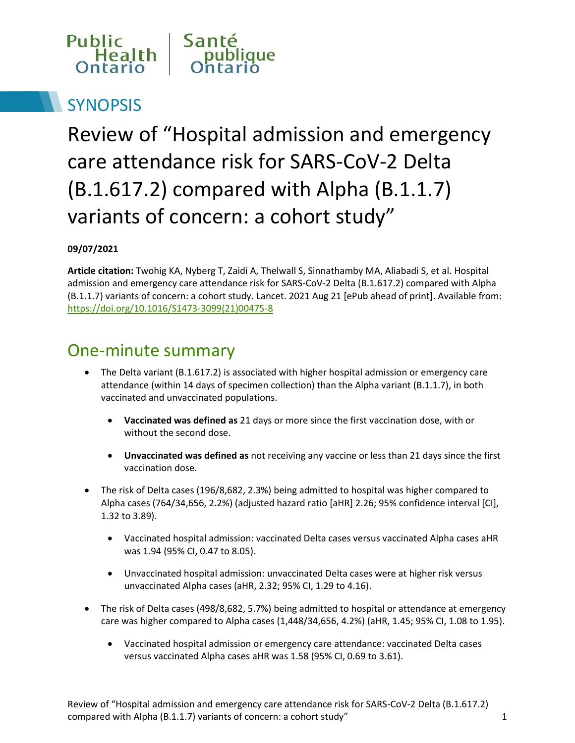

# **SYNOPSIS**

Review of "Hospital admission and emergency care attendance risk for SARS-CoV-2 Delta (B.1.617.2) compared with Alpha (B.1.1.7) variants of concern: a cohort study"

#### **09/07/2021**

**Article citation:** Twohig KA, Nyberg T, Zaidi A, Thelwall S, Sinnathamby MA, Aliabadi S, et al. Hospital admission and emergency care attendance risk for SARS-CoV-2 Delta (B.1.617.2) compared with Alpha (B.1.1.7) variants of concern: a cohort study. Lancet. 2021 Aug 21 [ePub ahead of print]. Available from: [https://doi.org/10.1016/S1473-3099\(21\)00475-8](https://doi.org/10.1016/S1473-3099(21)00475-8)

#### One-minute summary

- The Delta variant (B.1.617.2) is associated with higher hospital admission or emergency care attendance (within 14 days of specimen collection) than the Alpha variant (B.1.1.7), in both vaccinated and unvaccinated populations.
	- **Vaccinated was defined as** 21 days or more since the first vaccination dose, with or without the second dose.
	- **Unvaccinated was defined as** not receiving any vaccine or less than 21 days since the first vaccination dose.
- The risk of Delta cases (196/8,682, 2.3%) being admitted to hospital was higher compared to Alpha cases (764/34,656, 2.2%) (adjusted hazard ratio [aHR] 2.26; 95% confidence interval [CI], 1.32 to 3.89).
	- Vaccinated hospital admission: vaccinated Delta cases versus vaccinated Alpha cases aHR was 1.94 (95% CI, 0.47 to 8.05).
	- Unvaccinated hospital admission: unvaccinated Delta cases were at higher risk versus unvaccinated Alpha cases (aHR, 2.32; 95% CI, 1.29 to 4.16).
- The risk of Delta cases (498/8,682, 5.7%) being admitted to hospital or attendance at emergency care was higher compared to Alpha cases (1,448/34,656, 4.2%) (aHR, 1.45; 95% CI, 1.08 to 1.95).
	- Vaccinated hospital admission or emergency care attendance: vaccinated Delta cases versus vaccinated Alpha cases aHR was 1.58 (95% CI, 0.69 to 3.61).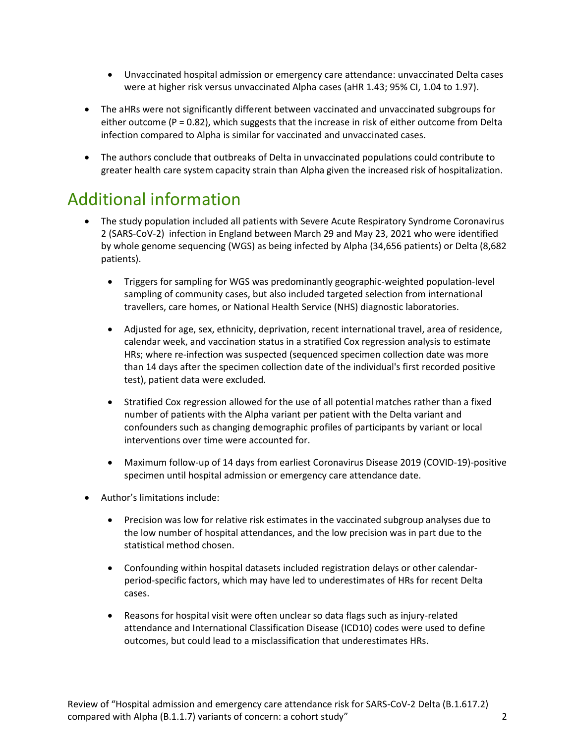- Unvaccinated hospital admission or emergency care attendance: unvaccinated Delta cases were at higher risk versus unvaccinated Alpha cases (aHR 1.43; 95% CI, 1.04 to 1.97).
- The aHRs were not significantly different between vaccinated and unvaccinated subgroups for either outcome ( $P = 0.82$ ), which suggests that the increase in risk of either outcome from Delta infection compared to Alpha is similar for vaccinated and unvaccinated cases.
- The authors conclude that outbreaks of Delta in unvaccinated populations could contribute to greater health care system capacity strain than Alpha given the increased risk of hospitalization.

### Additional information

- The study population included all patients with Severe Acute Respiratory Syndrome Coronavirus 2 (SARS-CoV-2) infection in England between March 29 and May 23, 2021 who were identified by whole genome sequencing (WGS) as being infected by Alpha (34,656 patients) or Delta (8,682 patients).
	- Triggers for sampling for WGS was predominantly geographic-weighted population-level sampling of community cases, but also included targeted selection from international travellers, care homes, or National Health Service (NHS) diagnostic laboratories.
	- Adjusted for age, sex, ethnicity, deprivation, recent international travel, area of residence, calendar week, and vaccination status in a stratified Cox regression analysis to estimate HRs; where re-infection was suspected (sequenced specimen collection date was more than 14 days after the specimen collection date of the individual's first recorded positive test), patient data were excluded.
	- Stratified Cox regression allowed for the use of all potential matches rather than a fixed number of patients with the Alpha variant per patient with the Delta variant and confounders such as changing demographic profiles of participants by variant or local interventions over time were accounted for.
	- Maximum follow-up of 14 days from earliest Coronavirus Disease 2019 (COVID-19)-positive specimen until hospital admission or emergency care attendance date.
- Author's limitations include:
	- Precision was low for relative risk estimates in the vaccinated subgroup analyses due to the low number of hospital attendances, and the low precision was in part due to the statistical method chosen.
	- Confounding within hospital datasets included registration delays or other calendarperiod-specific factors, which may have led to underestimates of HRs for recent Delta cases.
	- Reasons for hospital visit were often unclear so data flags such as injury-related attendance and International Classification Disease (ICD10) codes were used to define outcomes, but could lead to a misclassification that underestimates HRs.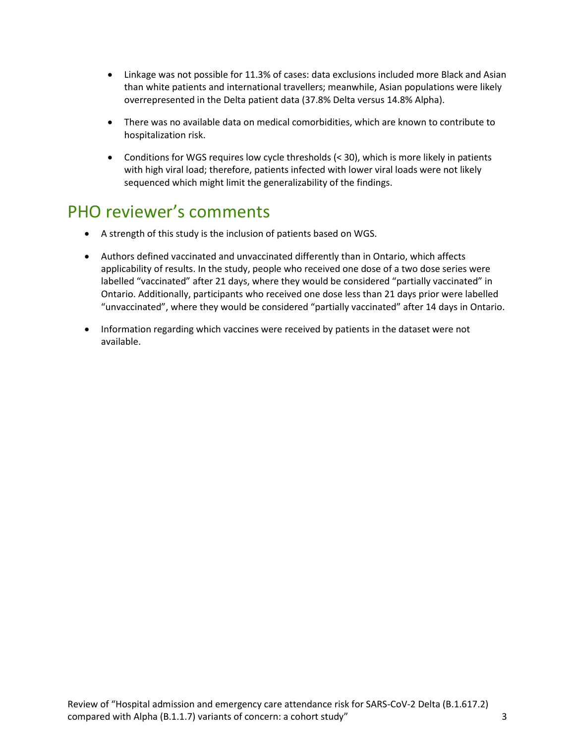- Linkage was not possible for 11.3% of cases: data exclusions included more Black and Asian than white patients and international travellers; meanwhile, Asian populations were likely overrepresented in the Delta patient data (37.8% Delta versus 14.8% Alpha).
- There was no available data on medical comorbidities, which are known to contribute to hospitalization risk.
- Conditions for WGS requires low cycle thresholds (< 30), which is more likely in patients with high viral load; therefore, patients infected with lower viral loads were not likely sequenced which might limit the generalizability of the findings.

## PHO reviewer's comments

- A strength of this study is the inclusion of patients based on WGS.
- Authors defined vaccinated and unvaccinated differently than in Ontario, which affects applicability of results. In the study, people who received one dose of a two dose series were labelled "vaccinated" after 21 days, where they would be considered "partially vaccinated" in Ontario. Additionally, participants who received one dose less than 21 days prior were labelled "unvaccinated", where they would be considered "partially vaccinated" after 14 days in Ontario.
- Information regarding which vaccines were received by patients in the dataset were not available.